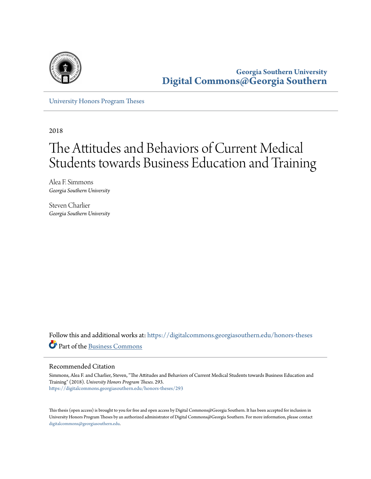

**Georgia Southern University [Digital Commons@Georgia Southern](https://digitalcommons.georgiasouthern.edu?utm_source=digitalcommons.georgiasouthern.edu%2Fhonors-theses%2F293&utm_medium=PDF&utm_campaign=PDFCoverPages)**

[University Honors Program Theses](https://digitalcommons.georgiasouthern.edu/honors-theses?utm_source=digitalcommons.georgiasouthern.edu%2Fhonors-theses%2F293&utm_medium=PDF&utm_campaign=PDFCoverPages)

2018

# The Attitudes and Behaviors of Current Medical Students towards Business Education and Training

Alea F. Simmons *Georgia Southern University*

Steven Charlier *Georgia Southern University*

Follow this and additional works at: [https://digitalcommons.georgiasouthern.edu/honors-theses](https://digitalcommons.georgiasouthern.edu/honors-theses?utm_source=digitalcommons.georgiasouthern.edu%2Fhonors-theses%2F293&utm_medium=PDF&utm_campaign=PDFCoverPages) Part of the [Business Commons](http://network.bepress.com/hgg/discipline/622?utm_source=digitalcommons.georgiasouthern.edu%2Fhonors-theses%2F293&utm_medium=PDF&utm_campaign=PDFCoverPages)

# Recommended Citation

Simmons, Alea F. and Charlier, Steven, "The Attitudes and Behaviors of Current Medical Students towards Business Education and Training" (2018). *University Honors Program Theses*. 293. [https://digitalcommons.georgiasouthern.edu/honors-theses/293](https://digitalcommons.georgiasouthern.edu/honors-theses/293?utm_source=digitalcommons.georgiasouthern.edu%2Fhonors-theses%2F293&utm_medium=PDF&utm_campaign=PDFCoverPages)

This thesis (open access) is brought to you for free and open access by Digital Commons@Georgia Southern. It has been accepted for inclusion in University Honors Program Theses by an authorized administrator of Digital Commons@Georgia Southern. For more information, please contact [digitalcommons@georgiasouthern.edu.](mailto:digitalcommons@georgiasouthern.edu)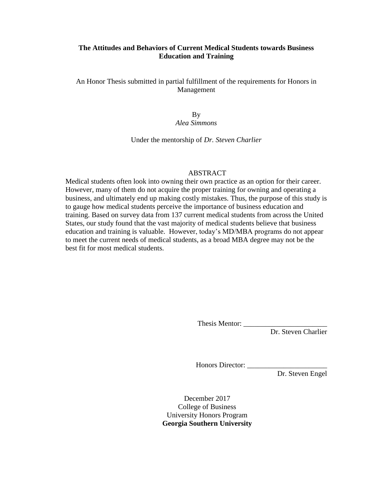# **The Attitudes and Behaviors of Current Medical Students towards Business Education and Training**

An Honor Thesis submitted in partial fulfillment of the requirements for Honors in Management

> By *Alea Simmons*

Under the mentorship of *Dr. Steven Charlier*

# ABSTRACT

Medical students often look into owning their own practice as an option for their career. However, many of them do not acquire the proper training for owning and operating a business, and ultimately end up making costly mistakes. Thus, the purpose of this study is to gauge how medical students perceive the importance of business education and training. Based on survey data from 137 current medical students from across the United States, our study found that the vast majority of medical students believe that business education and training is valuable. However, today's MD/MBA programs do not appear to meet the current needs of medical students, as a broad MBA degree may not be the best fit for most medical students.

Thesis Mentor: \_\_\_\_\_\_\_\_\_\_\_\_\_\_\_\_\_\_\_\_\_\_\_

Dr. Steven Charlier

Honors Director: \_\_\_\_\_\_\_\_\_\_\_\_\_\_\_\_\_\_\_\_\_\_

Dr. Steven Engel

December 2017 College of Business University Honors Program **Georgia Southern University**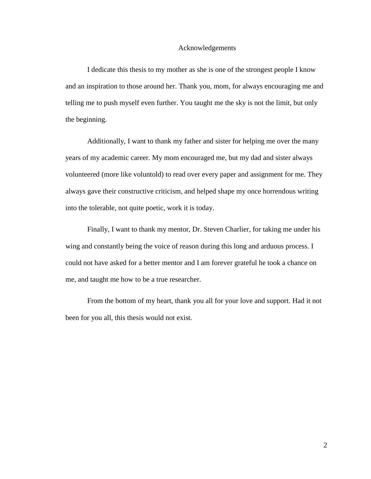#### Acknowledgements

I dedicate this thesis to my mother as she is one of the strongest people I know and an inspiration to those around her. Thank you, mom, for always encouraging me and telling me to push myself even further. You taught me the sky is not the limit, but only the beginning.

Additionally, I want to thank my father and sister for helping me over the many years of my academic career. My mom encouraged me, but my dad and sister always volunteered (more like voluntold) to read over every paper and assignment for me. They always gave their constructive criticism, and helped shape my once horrendous writing into the tolerable, not quite poetic, work it is today.

Finally, I want to thank my mentor, Dr. Steven Charlier, for taking me under his wing and constantly being the voice of reason during this long and arduous process. I could not have asked for a better mentor and I am forever grateful he took a chance on me, and taught me how to be a true researcher.

From the bottom of my heart, thank you all for your love and support. Had it not been for you all, this thesis would not exist.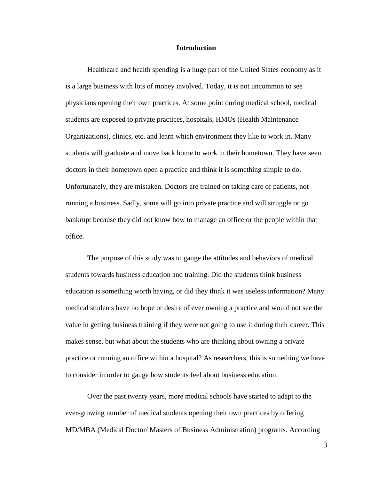#### **Introduction**

Healthcare and health spending is a huge part of the United States economy as it is a large business with lots of money involved. Today, it is not uncommon to see physicians opening their own practices. At some point during medical school, medical students are exposed to private practices, hospitals, HMOs (Health Maintenance Organizations), clinics, etc. and learn which environment they like to work in. Many students will graduate and move back home to work in their hometown. They have seen doctors in their hometown open a practice and think it is something simple to do. Unfortunately, they are mistaken. Doctors are trained on taking care of patients, not running a business. Sadly, some will go into private practice and will struggle or go bankrupt because they did not know how to manage an office or the people within that office.

The purpose of this study was to gauge the attitudes and behaviors of medical students towards business education and training. Did the students think business education is something worth having, or did they think it was useless information? Many medical students have no hope or desire of ever owning a practice and would not see the value in getting business training if they were not going to use it during their career. This makes sense, but what about the students who are thinking about owning a private practice or running an office within a hospital? As researchers, this is something we have to consider in order to gauge how students feel about business education.

Over the past twenty years, more medical schools have started to adapt to the ever-growing number of medical students opening their own practices by offering MD/MBA (Medical Doctor/ Masters of Business Administration) programs. According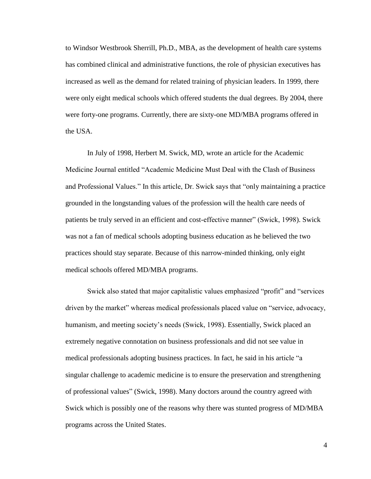to Windsor Westbrook Sherrill, Ph.D., MBA, as the development of health care systems has combined clinical and administrative functions, the role of physician executives has increased as well as the demand for related training of physician leaders. In 1999, there were only eight medical schools which offered students the dual degrees. By 2004, there were forty-one programs. Currently, there are sixty-one MD/MBA programs offered in the USA.

In July of 1998, Herbert M. Swick, MD, wrote an article for the Academic Medicine Journal entitled "Academic Medicine Must Deal with the Clash of Business and Professional Values." In this article, Dr. Swick says that "only maintaining a practice grounded in the longstanding values of the profession will the health care needs of patients be truly served in an efficient and cost-effective manner" (Swick, 1998). Swick was not a fan of medical schools adopting business education as he believed the two practices should stay separate. Because of this narrow-minded thinking, only eight medical schools offered MD/MBA programs.

Swick also stated that major capitalistic values emphasized "profit" and "services driven by the market" whereas medical professionals placed value on "service, advocacy, humanism, and meeting society's needs (Swick, 1998). Essentially, Swick placed an extremely negative connotation on business professionals and did not see value in medical professionals adopting business practices. In fact, he said in his article "a singular challenge to academic medicine is to ensure the preservation and strengthening of professional values" (Swick, 1998). Many doctors around the country agreed with Swick which is possibly one of the reasons why there was stunted progress of MD/MBA programs across the United States.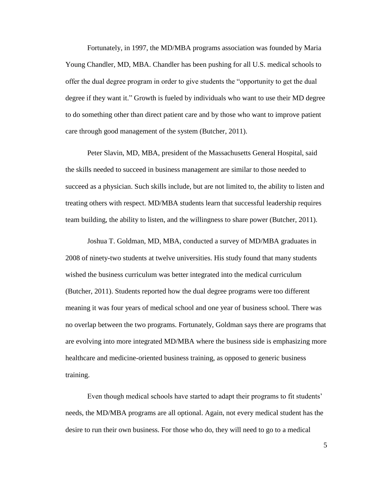Fortunately, in 1997, the MD/MBA programs association was founded by Maria Young Chandler, MD, MBA. Chandler has been pushing for all U.S. medical schools to offer the dual degree program in order to give students the "opportunity to get the dual degree if they want it." Growth is fueled by individuals who want to use their MD degree to do something other than direct patient care and by those who want to improve patient care through good management of the system (Butcher, 2011).

Peter Slavin, MD, MBA, president of the Massachusetts General Hospital, said the skills needed to succeed in business management are similar to those needed to succeed as a physician. Such skills include, but are not limited to, the ability to listen and treating others with respect. MD/MBA students learn that successful leadership requires team building, the ability to listen, and the willingness to share power (Butcher, 2011).

Joshua T. Goldman, MD, MBA, conducted a survey of MD/MBA graduates in 2008 of ninety-two students at twelve universities. His study found that many students wished the business curriculum was better integrated into the medical curriculum (Butcher, 2011). Students reported how the dual degree programs were too different meaning it was four years of medical school and one year of business school. There was no overlap between the two programs. Fortunately, Goldman says there are programs that are evolving into more integrated MD/MBA where the business side is emphasizing more healthcare and medicine-oriented business training, as opposed to generic business training.

Even though medical schools have started to adapt their programs to fit students' needs, the MD/MBA programs are all optional. Again, not every medical student has the desire to run their own business. For those who do, they will need to go to a medical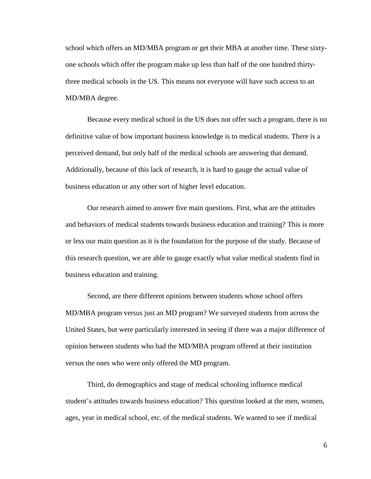school which offers an MD/MBA program or get their MBA at another time. These sixtyone schools which offer the program make up less than half of the one hundred thirtythree medical schools in the US. This means not everyone will have such access to an MD/MBA degree.

Because every medical school in the US does not offer such a program, there is no definitive value of how important business knowledge is to medical students. There is a perceived demand, but only half of the medical schools are answering that demand. Additionally, because of this lack of research, it is hard to gauge the actual value of business education or any other sort of higher level education.

Our research aimed to answer five main questions. First, what are the attitudes and behaviors of medical students towards business education and training? This is more or less our main question as it is the foundation for the purpose of the study. Because of this research question, we are able to gauge exactly what value medical students find in business education and training.

Second, are there different opinions between students whose school offers MD/MBA program versus just an MD program? We surveyed students from across the United States, but were particularly interested in seeing if there was a major difference of opinion between students who had the MD/MBA program offered at their institution versus the ones who were only offered the MD program.

Third, do demographics and stage of medical schooling influence medical student's attitudes towards business education? This question looked at the men, women, ages, year in medical school, etc. of the medical students. We wanted to see if medical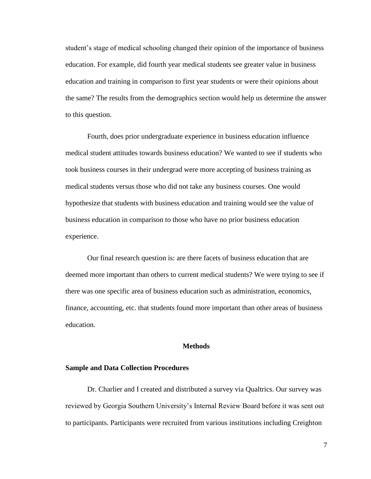student's stage of medical schooling changed their opinion of the importance of business education. For example, did fourth year medical students see greater value in business education and training in comparison to first year students or were their opinions about the same? The results from the demographics section would help us determine the answer to this question.

Fourth, does prior undergraduate experience in business education influence medical student attitudes towards business education? We wanted to see if students who took business courses in their undergrad were more accepting of business training as medical students versus those who did not take any business courses. One would hypothesize that students with business education and training would see the value of business education in comparison to those who have no prior business education experience.

Our final research question is: are there facets of business education that are deemed more important than others to current medical students? We were trying to see if there was one specific area of business education such as administration, economics, finance, accounting, etc. that students found more important than other areas of business education.

#### **Methods**

# **Sample and Data Collection Procedures**

Dr. Charlier and I created and distributed a survey via Qualtrics. Our survey was reviewed by Georgia Southern University's Internal Review Board before it was sent out to participants. Participants were recruited from various institutions including Creighton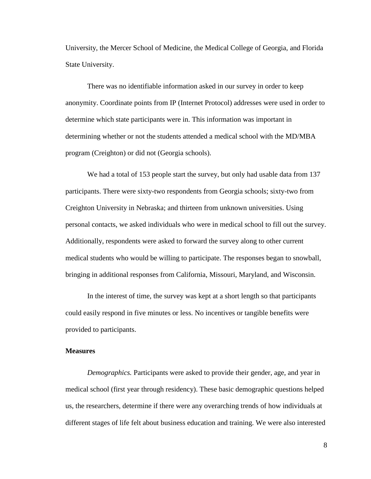University, the Mercer School of Medicine, the Medical College of Georgia, and Florida State University.

There was no identifiable information asked in our survey in order to keep anonymity. Coordinate points from IP (Internet Protocol) addresses were used in order to determine which state participants were in. This information was important in determining whether or not the students attended a medical school with the MD/MBA program (Creighton) or did not (Georgia schools).

We had a total of 153 people start the survey, but only had usable data from 137 participants. There were sixty-two respondents from Georgia schools; sixty-two from Creighton University in Nebraska; and thirteen from unknown universities. Using personal contacts, we asked individuals who were in medical school to fill out the survey. Additionally, respondents were asked to forward the survey along to other current medical students who would be willing to participate. The responses began to snowball, bringing in additional responses from California, Missouri, Maryland, and Wisconsin.

In the interest of time, the survey was kept at a short length so that participants could easily respond in five minutes or less. No incentives or tangible benefits were provided to participants.

#### **Measures**

*Demographics.* Participants were asked to provide their gender, age, and year in medical school (first year through residency). These basic demographic questions helped us, the researchers, determine if there were any overarching trends of how individuals at different stages of life felt about business education and training. We were also interested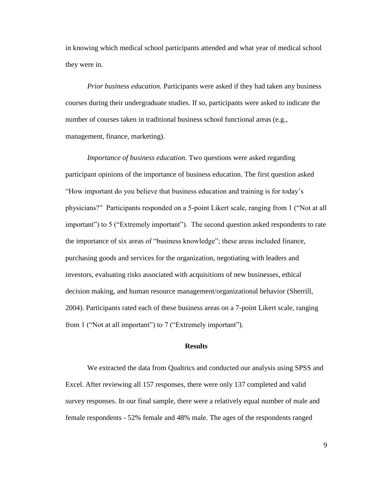in knowing which medical school participants attended and what year of medical school they were in.

*Prior business education.* Participants were asked if they had taken any business courses during their undergraduate studies. If so, participants were asked to indicate the number of courses taken in traditional business school functional areas (e.g., management, finance, marketing).

*Importance of business education.* Two questions were asked regarding participant opinions of the importance of business education. The first question asked "How important do you believe that business education and training is for today's physicians?" Participants responded on a 5-point Likert scale, ranging from 1 ("Not at all important") to 5 ("Extremely important"). The second question asked respondents to rate the importance of six areas of "business knowledge"; these areas included finance, purchasing goods and services for the organization, negotiating with leaders and investors, evaluating risks associated with acquisitions of new businesses, ethical decision making, and human resource management/organizational behavior (Sherrill, 2004). Participants rated each of these business areas on a 7-point Likert scale, ranging from 1 ("Not at all important") to 7 ("Extremely important").

# **Results**

We extracted the data from Qualtrics and conducted our analysis using SPSS and Excel. After reviewing all 157 responses, there were only 137 completed and valid survey responses. In our final sample, there were a relatively equal number of male and female respondents - 52% female and 48% male. The ages of the respondents ranged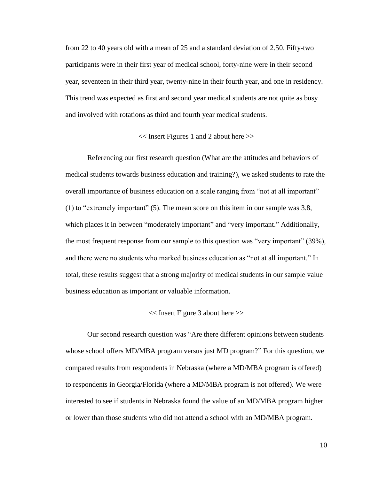from 22 to 40 years old with a mean of 25 and a standard deviation of 2.50. Fifty-two participants were in their first year of medical school, forty-nine were in their second year, seventeen in their third year, twenty-nine in their fourth year, and one in residency. This trend was expected as first and second year medical students are not quite as busy and involved with rotations as third and fourth year medical students.

# << Insert Figures 1 and 2 about here >>

Referencing our first research question (What are the attitudes and behaviors of medical students towards business education and training?), we asked students to rate the overall importance of business education on a scale ranging from "not at all important" (1) to "extremely important" (5). The mean score on this item in our sample was 3.8, which places it in between "moderately important" and "very important." Additionally, the most frequent response from our sample to this question was "very important" (39%), and there were no students who marked business education as "not at all important." In total, these results suggest that a strong majority of medical students in our sample value business education as important or valuable information.

# << Insert Figure 3 about here >>

Our second research question was "Are there different opinions between students whose school offers MD/MBA program versus just MD program?" For this question, we compared results from respondents in Nebraska (where a MD/MBA program is offered) to respondents in Georgia/Florida (where a MD/MBA program is not offered). We were interested to see if students in Nebraska found the value of an MD/MBA program higher or lower than those students who did not attend a school with an MD/MBA program.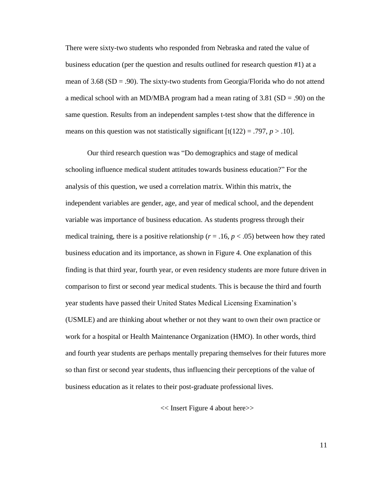There were sixty-two students who responded from Nebraska and rated the value of business education (per the question and results outlined for research question #1) at a mean of 3.68 ( $SD = .90$ ). The sixty-two students from Georgia/Florida who do not attend a medical school with an MD/MBA program had a mean rating of  $3.81$  (SD = .90) on the same question. Results from an independent samples t-test show that the difference in means on this question was not statistically significant  $[t(122) = .797, p > .10]$ .

Our third research question was "Do demographics and stage of medical schooling influence medical student attitudes towards business education?" For the analysis of this question, we used a correlation matrix. Within this matrix, the independent variables are gender, age, and year of medical school, and the dependent variable was importance of business education. As students progress through their medical training, there is a positive relationship ( $r = .16$ ,  $p < .05$ ) between how they rated business education and its importance, as shown in Figure 4. One explanation of this finding is that third year, fourth year, or even residency students are more future driven in comparison to first or second year medical students. This is because the third and fourth year students have passed their United States Medical Licensing Examination's (USMLE) and are thinking about whether or not they want to own their own practice or work for a hospital or Health Maintenance Organization (HMO). In other words, third and fourth year students are perhaps mentally preparing themselves for their futures more so than first or second year students, thus influencing their perceptions of the value of business education as it relates to their post-graduate professional lives.

<< Insert Figure 4 about here>>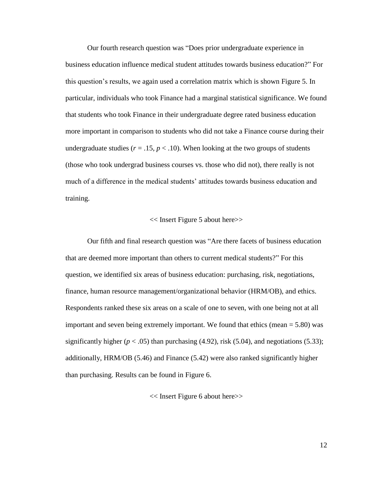Our fourth research question was "Does prior undergraduate experience in business education influence medical student attitudes towards business education?" For this question's results, we again used a correlation matrix which is shown Figure 5. In particular, individuals who took Finance had a marginal statistical significance. We found that students who took Finance in their undergraduate degree rated business education more important in comparison to students who did not take a Finance course during their undergraduate studies ( $r = .15$ ,  $p < .10$ ). When looking at the two groups of students (those who took undergrad business courses vs. those who did not), there really is not much of a difference in the medical students' attitudes towards business education and training.

# << Insert Figure 5 about here>>

Our fifth and final research question was "Are there facets of business education that are deemed more important than others to current medical students?" For this question, we identified six areas of business education: purchasing, risk, negotiations, finance, human resource management/organizational behavior (HRM/OB), and ethics. Respondents ranked these six areas on a scale of one to seven, with one being not at all important and seven being extremely important. We found that ethics (mean = 5.80) was significantly higher  $(p < .05)$  than purchasing (4.92), risk (5.04), and negotiations (5.33); additionally, HRM/OB (5.46) and Finance (5.42) were also ranked significantly higher than purchasing. Results can be found in Figure 6.

<< Insert Figure 6 about here>>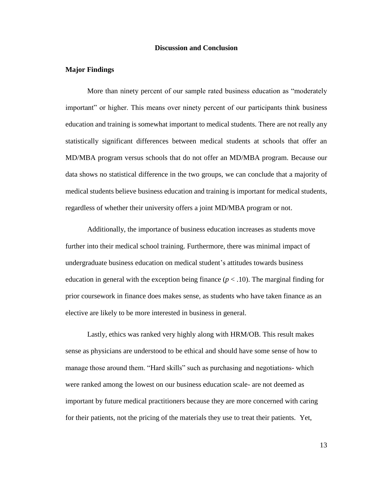# **Discussion and Conclusion**

#### **Major Findings**

More than ninety percent of our sample rated business education as "moderately important" or higher. This means over ninety percent of our participants think business education and training is somewhat important to medical students. There are not really any statistically significant differences between medical students at schools that offer an MD/MBA program versus schools that do not offer an MD/MBA program. Because our data shows no statistical difference in the two groups, we can conclude that a majority of medical students believe business education and training is important for medical students, regardless of whether their university offers a joint MD/MBA program or not.

Additionally, the importance of business education increases as students move further into their medical school training. Furthermore, there was minimal impact of undergraduate business education on medical student's attitudes towards business education in general with the exception being finance  $(p < .10)$ . The marginal finding for prior coursework in finance does makes sense, as students who have taken finance as an elective are likely to be more interested in business in general.

Lastly, ethics was ranked very highly along with HRM/OB. This result makes sense as physicians are understood to be ethical and should have some sense of how to manage those around them. "Hard skills" such as purchasing and negotiations- which were ranked among the lowest on our business education scale- are not deemed as important by future medical practitioners because they are more concerned with caring for their patients, not the pricing of the materials they use to treat their patients. Yet,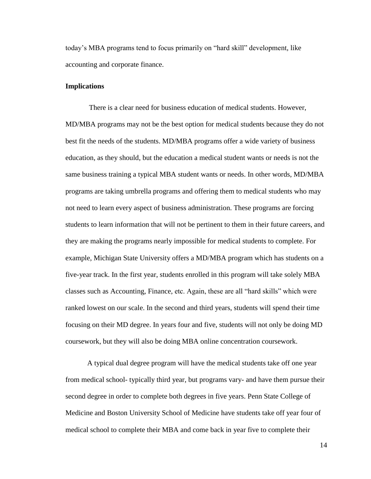today's MBA programs tend to focus primarily on "hard skill" development, like accounting and corporate finance.

# **Implications**

There is a clear need for business education of medical students. However, MD/MBA programs may not be the best option for medical students because they do not best fit the needs of the students. MD/MBA programs offer a wide variety of business education, as they should, but the education a medical student wants or needs is not the same business training a typical MBA student wants or needs. In other words, MD/MBA programs are taking umbrella programs and offering them to medical students who may not need to learn every aspect of business administration. These programs are forcing students to learn information that will not be pertinent to them in their future careers, and they are making the programs nearly impossible for medical students to complete. For example, Michigan State University offers a MD/MBA program which has students on a five-year track. In the first year, students enrolled in this program will take solely MBA classes such as Accounting, Finance, etc. Again, these are all "hard skills" which were ranked lowest on our scale. In the second and third years, students will spend their time focusing on their MD degree. In years four and five, students will not only be doing MD coursework, but they will also be doing MBA online concentration coursework.

A typical dual degree program will have the medical students take off one year from medical school- typically third year, but programs vary- and have them pursue their second degree in order to complete both degrees in five years. Penn State College of Medicine and Boston University School of Medicine have students take off year four of medical school to complete their MBA and come back in year five to complete their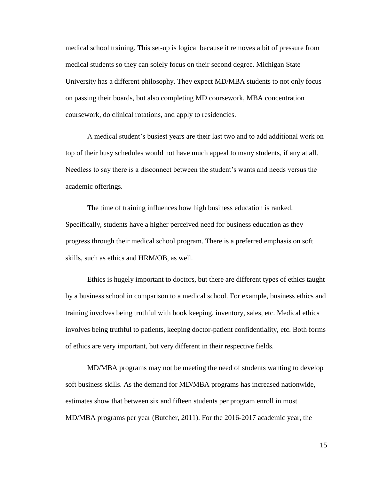medical school training. This set-up is logical because it removes a bit of pressure from medical students so they can solely focus on their second degree. Michigan State University has a different philosophy. They expect MD/MBA students to not only focus on passing their boards, but also completing MD coursework, MBA concentration coursework, do clinical rotations, and apply to residencies.

A medical student's busiest years are their last two and to add additional work on top of their busy schedules would not have much appeal to many students, if any at all. Needless to say there is a disconnect between the student's wants and needs versus the academic offerings.

The time of training influences how high business education is ranked. Specifically, students have a higher perceived need for business education as they progress through their medical school program. There is a preferred emphasis on soft skills, such as ethics and HRM/OB, as well.

Ethics is hugely important to doctors, but there are different types of ethics taught by a business school in comparison to a medical school. For example, business ethics and training involves being truthful with book keeping, inventory, sales, etc. Medical ethics involves being truthful to patients, keeping doctor-patient confidentiality, etc. Both forms of ethics are very important, but very different in their respective fields.

MD/MBA programs may not be meeting the need of students wanting to develop soft business skills. As the demand for MD/MBA programs has increased nationwide, estimates show that between six and fifteen students per program enroll in most MD/MBA programs per year (Butcher, 2011). For the 2016-2017 academic year, the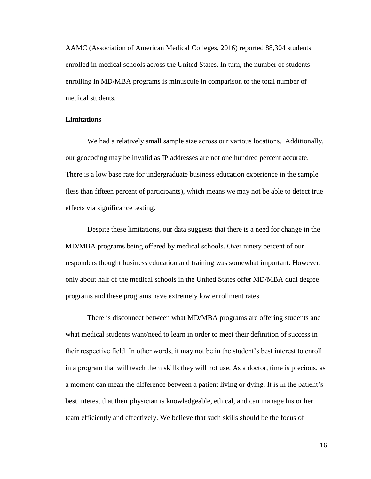AAMC (Association of American Medical Colleges, 2016) reported 88,304 students enrolled in medical schools across the United States. In turn, the number of students enrolling in MD/MBA programs is minuscule in comparison to the total number of medical students.

# **Limitations**

We had a relatively small sample size across our various locations. Additionally, our geocoding may be invalid as IP addresses are not one hundred percent accurate. There is a low base rate for undergraduate business education experience in the sample (less than fifteen percent of participants), which means we may not be able to detect true effects via significance testing.

Despite these limitations, our data suggests that there is a need for change in the MD/MBA programs being offered by medical schools. Over ninety percent of our responders thought business education and training was somewhat important. However, only about half of the medical schools in the United States offer MD/MBA dual degree programs and these programs have extremely low enrollment rates.

There is disconnect between what MD/MBA programs are offering students and what medical students want/need to learn in order to meet their definition of success in their respective field. In other words, it may not be in the student's best interest to enroll in a program that will teach them skills they will not use. As a doctor, time is precious, as a moment can mean the difference between a patient living or dying. It is in the patient's best interest that their physician is knowledgeable, ethical, and can manage his or her team efficiently and effectively. We believe that such skills should be the focus of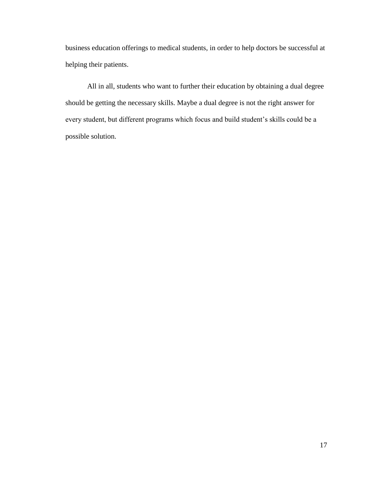business education offerings to medical students, in order to help doctors be successful at helping their patients.

All in all, students who want to further their education by obtaining a dual degree should be getting the necessary skills. Maybe a dual degree is not the right answer for every student, but different programs which focus and build student's skills could be a possible solution.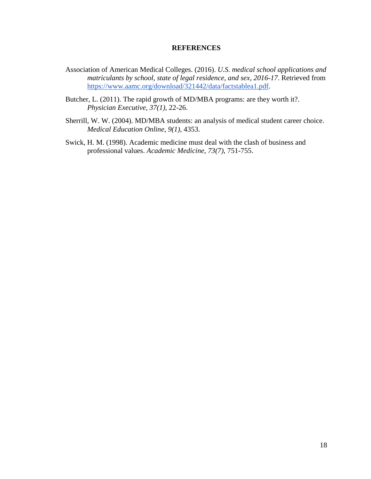#### **REFERENCES**

- Association of American Medical Colleges. (2016). *U.S. medical school applications and matriculants by school, state of legal residence, and sex, 2016-17*. Retrieved from [https://www.aamc.org/download/321442/data/factstablea1.pdf.](https://www.aamc.org/download/321442/data/factstablea1.pdf)
- Butcher, L. (2011). The rapid growth of MD/MBA programs: are they worth it?. *Physician Executive, 37(1)*, 22-26.
- Sherrill, W. W. (2004). MD/MBA students: an analysis of medical student career choice. *Medical Education Online*, *9(1)*, 4353.
- Swick, H. M. (1998). Academic medicine must deal with the clash of business and professional values. *Academic Medicine, 73(7)*, 751-755.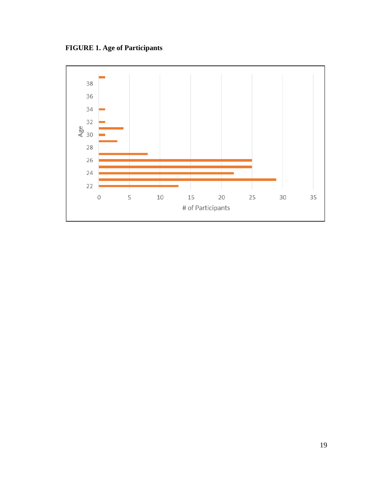**FIGURE 1. Age of Participants**

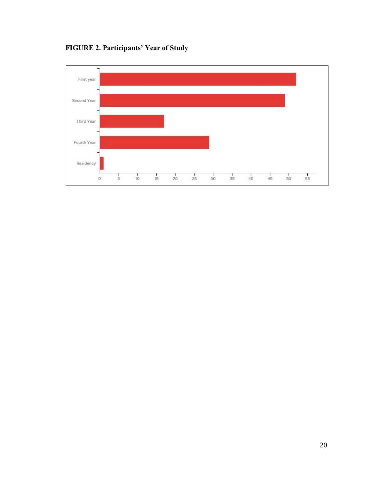

 $\frac{1}{15}$ 

 $\frac{1}{20}$ 

 $\frac{1}{25}$ 

 $\frac{1}{30}$ 

 $\frac{1}{35}$ 

 $\frac{1}{40}$ 

 $\frac{1}{45}$ 

 $\frac{1}{50}$ 

 $\frac{1}{55}$ 

**FIGURE 2. Participants' Year of Study**

 $\frac{1}{5}$ 

 $10^{-1}$ 

Fourth Year

Residency

 $\mathbf 0$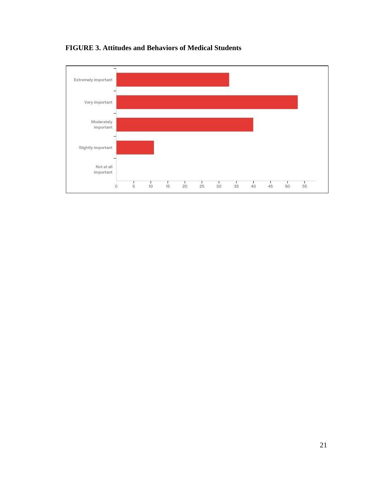

**FIGURE 3. Attitudes and Behaviors of Medical Students**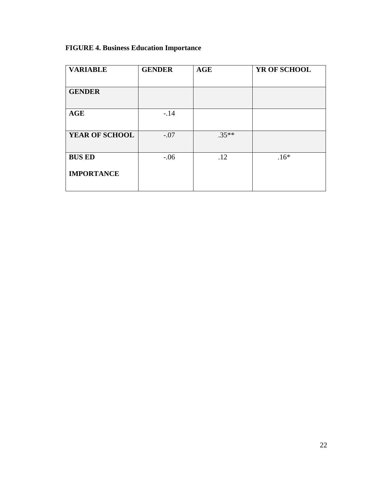# **FIGURE 4. Business Education Importance**

| <b>VARIABLE</b>   | <b>GENDER</b> | <b>AGE</b> | YR OF SCHOOL |  |
|-------------------|---------------|------------|--------------|--|
|                   |               |            |              |  |
| <b>GENDER</b>     |               |            |              |  |
|                   |               |            |              |  |
| <b>AGE</b>        | $-.14$        |            |              |  |
|                   |               |            |              |  |
| YEAR OF SCHOOL    | $-.07$        | $.35**$    |              |  |
|                   |               |            |              |  |
| <b>BUS ED</b>     | $-.06$        | .12        | $.16*$       |  |
| <b>IMPORTANCE</b> |               |            |              |  |
|                   |               |            |              |  |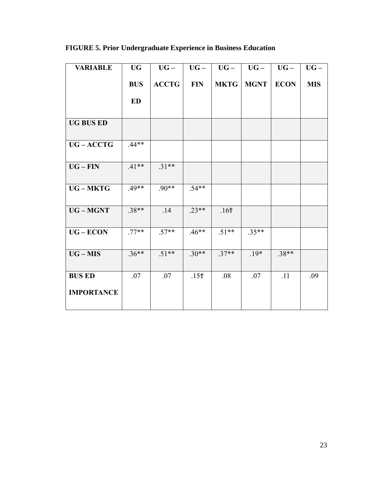**FIGURE 5. Prior Undergraduate Experience in Business Education**

|              |                  |                  |             |             | $\mathbf{U}\mathbf{G}$ – |
|--------------|------------------|------------------|-------------|-------------|--------------------------|
| <b>ACCTG</b> | <b>FIN</b>       | <b>MKTG</b>      | <b>MGNT</b> | <b>ECON</b> | <b>MIS</b>               |
|              |                  |                  |             |             |                          |
|              |                  |                  |             |             |                          |
|              |                  |                  |             |             |                          |
| $.31**$      |                  |                  |             |             |                          |
| $.90**$      | $.54**$          |                  |             |             |                          |
| .14          | $.23**$          | .16 <sub>T</sub> |             |             |                          |
| $.57**$      | $.46**$          | $.51**$          | $.35**$     |             |                          |
| $.51**$      | $.30**$          | $.37**$          | $.19*$      | $.38**$     |                          |
| .07          | .15 <sup>†</sup> | .08              | .07         | .11         | .09                      |
|              |                  |                  |             |             |                          |